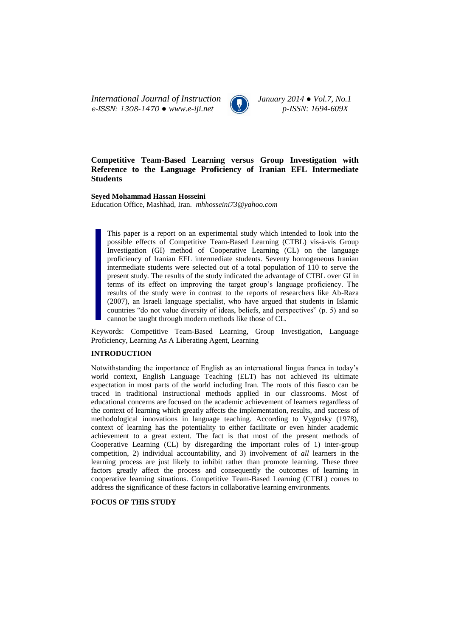*International Journal of Instruction January 2014 ● Vol.7, No.1 e-ISSN: 1308-1470 ● www.e-iji.net p-ISSN: 1694-609X*



# **Competitive Team-Based Learning versus Group Investigation with Reference to the Language Proficiency of Iranian EFL Intermediate Students**

**Seyed Mohammad Hassan Hosseini**

Education Office, Mashhad, Iran. *mhhosseini73@yahoo.com*

This paper is a report on an experimental study which intended to look into the possible effects of Competitive Team-Based Learning (CTBL) vis-à-vis Group Investigation (GI) method of Cooperative Learning (CL) on the language proficiency of Iranian EFL intermediate students. Seventy homogeneous Iranian intermediate students were selected out of a total population of 110 to serve the present study. The results of the study indicated the advantage of CTBL over GI in terms of its effect on improving the target group's language proficiency. The results of the study were in contrast to the reports of researchers like Ab-Raza (2007), an Israeli language specialist, who have argued that students in Islamic countries "do not value diversity of ideas, beliefs, and perspectives" (p. 5) and so cannot be taught through modern methods like those of CL.

Keywords: Competitive Team-Based Learning, Group Investigation, Language Proficiency, Learning As A Liberating Agent, Learning

# **INTRODUCTION**

Notwithstanding the importance of English as an international lingua franca in today's world context, English Language Teaching (ELT) has not achieved its ultimate expectation in most parts of the world including Iran. The roots of this fiasco can be traced in traditional instructional methods applied in our classrooms. Most of educational concerns are focused on the academic achievement of learners regardless of the context of learning which greatly affects the implementation, results, and success of methodological innovations in language teaching. According to Vygotsky (1978), context of learning has the potentiality to either facilitate or even hinder academic achievement to a great extent. The fact is that most of the present methods of Cooperative Learning (CL) by disregarding the important roles of 1) inter-group competition, 2) individual accountability, and 3) involvement of *all* learners in the learning process are just likely to inhibit rather than promote learning. These three factors greatly affect the process and consequently the outcomes of learning in cooperative learning situations. Competitive Team-Based Learning (CTBL) comes to address the significance of these factors in collaborative learning environments.

## **FOCUS OF THIS STUDY**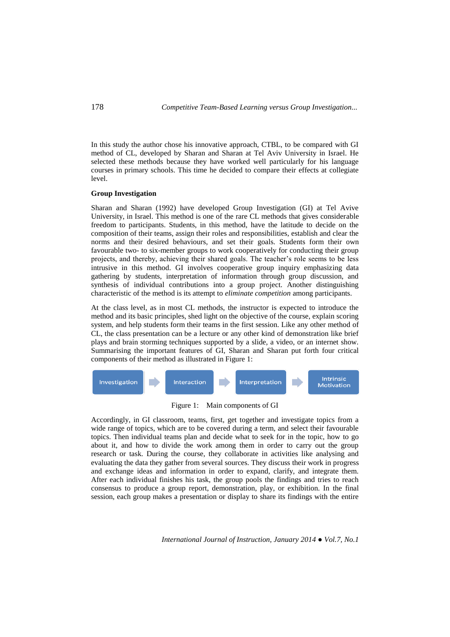In this study the author chose his innovative approach, CTBL, to be compared with GI method of CL, developed by Sharan and Sharan at Tel Aviv University in Israel. He selected these methods because they have worked well particularly for his language courses in primary schools. This time he decided to compare their effects at collegiate level.

### **Group Investigation**

Sharan and Sharan (1992) have developed Group Investigation (GI) at Tel Avive University, in Israel. This method is one of the rare CL methods that gives considerable freedom to participants. Students, in this method, have the latitude to decide on the composition of their teams, assign their roles and responsibilities, establish and clear the norms and their desired behaviours, and set their goals. Students form their own favourable two- to six-member groups to work cooperatively for conducting their group projects, and thereby, achieving their shared goals. The teacher's role seems to be less intrusive in this method. GI involves cooperative group inquiry emphasizing data gathering by students, interpretation of information through group discussion, and synthesis of individual contributions into a group project. Another distinguishing characteristic of the method is its attempt to *eliminate competition* among participants.

At the class level, as in most CL methods, the instructor is expected to introduce the method and its basic principles, shed light on the objective of the course, explain scoring system, and help students form their teams in the first session. Like any other method of CL, the class presentation can be a lecture or any other kind of demonstration like brief plays and brain storming techniques supported by a slide, a video, or an internet show. Summarising the important features of GI, Sharan and Sharan put forth four critical components of their method as illustrated in Figure 1:



Figure 1: Main components of GI

Accordingly, in GI classroom, teams, first, get together and investigate topics from a wide range of topics, which are to be covered during a term, and select their favourable topics. Then individual teams plan and decide what to seek for in the topic, how to go about it, and how to divide the work among them in order to carry out the group research or task. During the course, they collaborate in activities like analysing and evaluating the data they gather from several sources. They discuss their work in progress and exchange ideas and information in order to expand, clarify, and integrate them. After each individual finishes his task, the group pools the findings and tries to reach consensus to produce a group report, demonstration, play, or exhibition. In the final session, each group makes a presentation or display to share its findings with the entire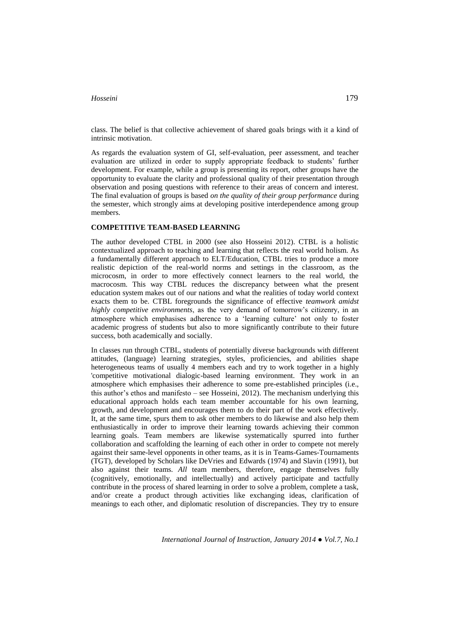class. The belief is that collective achievement of shared goals brings with it a kind of intrinsic motivation.

As regards the evaluation system of GI, self-evaluation, peer assessment, and teacher evaluation are utilized in order to supply appropriate feedback to students' further development. For example, while a group is presenting its report, other groups have the opportunity to evaluate the clarity and professional quality of their presentation through observation and posing questions with reference to their areas of concern and interest. The final evaluation of groups is based *on the quality of their group performance* during the semester, which strongly aims at developing positive interdependence among group members.

## **COMPETITIVE TEAM-BASED LEARNING**

The author developed CTBL in 2000 (see also Hosseini 2012). CTBL is a holistic contextualized approach to teaching and learning that reflects the real world holism. As a fundamentally different approach to ELT/Education, CTBL tries to produce a more realistic depiction of the real-world norms and settings in the classroom, as the microcosm, in order to more effectively connect learners to the real world, the macrocosm. This way CTBL reduces the discrepancy between what the present education system makes out of our nations and what the realities of today world context exacts them to be. CTBL foregrounds the significance of effective *teamwork amidst highly competitive environments*, as the very demand of tomorrow's citizenry, in an atmosphere which emphasises adherence to a 'learning culture' not only to foster academic progress of students but also to more significantly contribute to their future success, both academically and socially.

In classes run through CTBL, students of potentially diverse backgrounds with different attitudes, (language) learning strategies, styles, proficiencies, and abilities shape heterogeneous teams of usually 4 members each and try to work together in a highly 'competitive motivational dialogic-based learning environment. They work in an atmosphere which emphasises their adherence to some pre-established principles (i.e., this author's ethos and manifesto – see Hosseini, 2012). The mechanism underlying this educational approach holds each team member accountable for his own learning, growth, and development and encourages them to do their part of the work effectively. It, at the same time, spurs them to ask other members to do likewise and also help them enthusiastically in order to improve their learning towards achieving their common learning goals. Team members are likewise systematically spurred into further collaboration and scaffolding the learning of each other in order to compete not merely against their same-level opponents in other teams, as it is in Teams-Games-Tournaments (TGT), developed by Scholars like DeVries and Edwards (1974) and Slavin (1991), but also against their teams. *All* team members, therefore, engage themselves fully (cognitively, emotionally, and intellectually) and actively participate and tactfully contribute in the process of shared learning in order to solve a problem, complete a task, and/or create a product through activities like exchanging ideas, clarification of meanings to each other, and diplomatic resolution of discrepancies. They try to ensure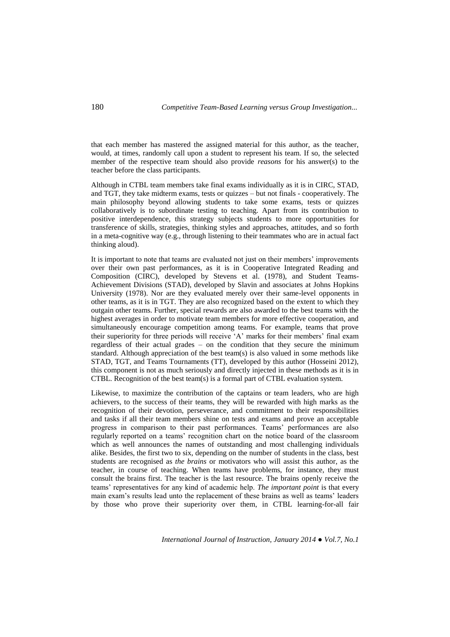that each member has mastered the assigned material for this author, as the teacher, would, at times, randomly call upon a student to represent his team. If so, the selected member of the respective team should also provide *reasons* for his answer(s) to the teacher before the class participants.

Although in CTBL team members take final exams individually as it is in CIRC, STAD, and TGT, they take midterm exams, tests or quizzes – but not finals - cooperatively. The main philosophy beyond allowing students to take some exams, tests or quizzes collaboratively is to subordinate testing to teaching. Apart from its contribution to positive interdependence, this strategy subjects students to more opportunities for transference of skills, strategies, thinking styles and approaches, attitudes, and so forth in a meta-cognitive way (e.g., through listening to their teammates who are in actual fact thinking aloud).

It is important to note that teams are evaluated not just on their members' improvements over their own past performances, as it is in Cooperative Integrated Reading and Composition (CIRC), developed by Stevens et al. (1978), and Student Teams-Achievement Divisions (STAD), developed by Slavin and associates at Johns Hopkins University (1978). Nor are they evaluated merely over their same-level opponents in other teams, as it is in TGT. They are also recognized based on the extent to which they outgain other teams. Further, special rewards are also awarded to the best teams with the highest averages in order to motivate team members for more effective cooperation, and simultaneously encourage competition among teams. For example, teams that prove their superiority for three periods will receive 'A' marks for their members' final exam regardless of their actual grades – on the condition that they secure the minimum standard. Although appreciation of the best team(s) is also valued in some methods like STAD, TGT, and Teams Tournaments (TT), developed by this author (Hosseini 2012), this component is not as much seriously and directly injected in these methods as it is in CTBL. Recognition of the best team(s) is a formal part of CTBL evaluation system.

Likewise, to maximize the contribution of the captains or team leaders, who are high achievers, to the success of their teams, they will be rewarded with high marks as the recognition of their devotion, perseverance, and commitment to their responsibilities and tasks if all their team members shine on tests and exams and prove an acceptable progress in comparison to their past performances. Teams' performances are also regularly reported on a teams' recognition chart on the notice board of the classroom which as well announces the names of outstanding and most challenging individuals alike. Besides, the first two to six, depending on the number of students in the class, best students are recognised as *the brains* or motivators who will assist this author, as the teacher, in course of teaching. When teams have problems, for instance, they must consult the brains first. The teacher is the last resource. The brains openly receive the teams' representatives for any kind of academic help. *The important point* is that every main exam's results lead unto the replacement of these brains as well as teams' leaders by those who prove their superiority over them, in CTBL learning-for-all fair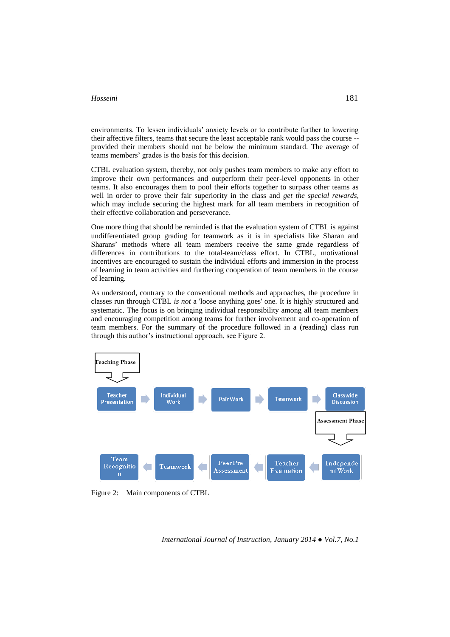environments. To lessen individuals' anxiety levels or to contribute further to lowering their affective filters, teams that secure the least acceptable rank would pass the course - provided their members should not be below the minimum standard. The average of teams members' grades is the basis for this decision.

CTBL evaluation system, thereby, not only pushes team members to make any effort to improve their own performances and outperform their peer-level opponents in other teams. It also encourages them to pool their efforts together to surpass other teams as well in order to prove their fair superiority in the class and *get the special rewards*, which may include securing the highest mark for all team members in recognition of their effective collaboration and perseverance.

One more thing that should be reminded is that the evaluation system of CTBL is against undifferentiated group grading for teamwork as it is in specialists like Sharan and Sharans' methods where all team members receive the same grade regardless of differences in contributions to the total-team/class effort. In CTBL, motivational incentives are encouraged to sustain the individual efforts and immersion in the process of learning in team activities and furthering cooperation of team members in the course of learning.

As understood, contrary to the conventional methods and approaches, the procedure in classes run through CTBL *is not* a 'loose anything goes' one. It is highly structured and systematic. The focus is on bringing individual responsibility among all team members and encouraging competition among teams for further involvement and co-operation of team members. For the summary of the procedure followed in a (reading) class run through this author's instructional approach, see Figure 2.



Figure 2: Main components of CTBL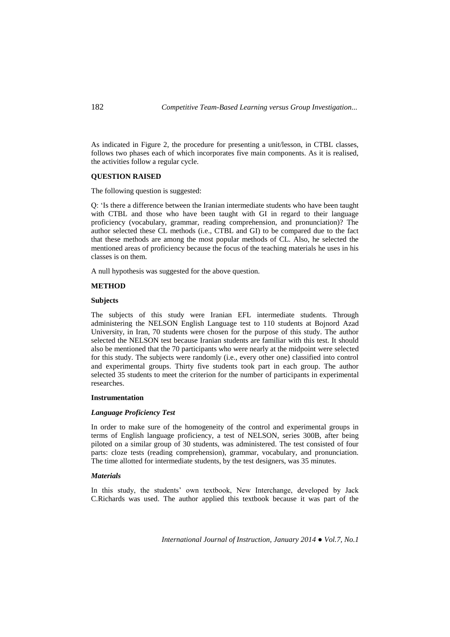As indicated in Figure 2, the procedure for presenting a unit/lesson, in CTBL classes, follows two phases each of which incorporates five main components. As it is realised, the activities follow a regular cycle.

#### **QUESTION RAISED**

The following question is suggested:

Q: 'Is there a difference between the Iranian intermediate students who have been taught with CTBL and those who have been taught with GI in regard to their language proficiency (vocabulary, grammar, reading comprehension, and pronunciation)? The author selected these CL methods (i.e., CTBL and GI) to be compared due to the fact that these methods are among the most popular methods of CL. Also, he selected the mentioned areas of proficiency because the focus of the teaching materials he uses in his classes is on them.

A null hypothesis was suggested for the above question.

#### **METHOD**

#### **Subjects**

The subjects of this study were Iranian EFL intermediate students. Through administering the NELSON English Language test to 110 students at Bojnord Azad University, in Iran, 70 students were chosen for the purpose of this study. The author selected the NELSON test because Iranian students are familiar with this test. It should also be mentioned that the 70 participants who were nearly at the midpoint were selected for this study. The subjects were randomly (i.e., every other one) classified into control and experimental groups. Thirty five students took part in each group. The author selected 35 students to meet the criterion for the number of participants in experimental researches.

#### **Instrumentation**

## *Language Proficiency Test*

In order to make sure of the homogeneity of the control and experimental groups in terms of English language proficiency, a test of NELSON, series 300B, after being piloted on a similar group of 30 students, was administered. The test consisted of four parts: cloze tests (reading comprehension), grammar, vocabulary, and pronunciation. The time allotted for intermediate students, by the test designers, was 35 minutes.

### *Materials*

In this study, the students' own textbook, New Interchange, developed by Jack C.Richards was used. The author applied this textbook because it was part of the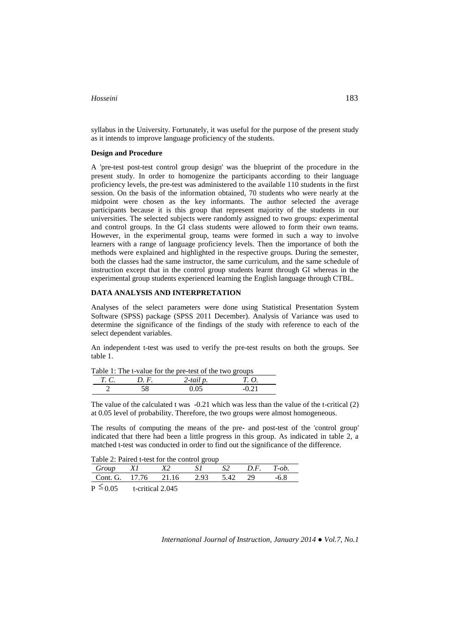syllabus in the University. Fortunately, it was useful for the purpose of the present study as it intends to improve language proficiency of the students.

### **Design and Procedure**

A 'pre-test post-test control group design' was the blueprint of the procedure in the present study. In order to homogenize the participants according to their language proficiency levels, the pre-test was administered to the available 110 students in the first session. On the basis of the information obtained, 70 students who were nearly at the midpoint were chosen as the key informants. The author selected the average participants because it is this group that represent majority of the students in our universities. The selected subjects were randomly assigned to two groups: experimental and control groups. In the GI class students were allowed to form their own teams. However, in the experimental group, teams were formed in such a way to involve learners with a range of language proficiency levels. Then the importance of both the methods were explained and highlighted in the respective groups. During the semester, both the classes had the same instructor, the same curriculum, and the same schedule of instruction except that in the control group students learnt through GI whereas in the experimental group students experienced learning the English language through CTBL.

### **DATA ANALYSIS AND INTERPRETATION**

Analyses of the select parameters were done using Statistical Presentation System Software (SPSS) package (SPSS 2011 December). Analysis of Variance was used to determine the significance of the findings of the study with reference to each of the select dependent variables.

An independent t-test was used to verify the pre-test results on both the groups. See table 1.

|             |      | Table 1: The t-value for the pre-test of the two groups |             |  |
|-------------|------|---------------------------------------------------------|-------------|--|
| <i>T.C.</i> | D.F. | 2-tail p.                                               | <i>T.O.</i> |  |
|             | 58   | 0.05                                                    | $-0.21$     |  |

 $Table 1: The t-value for the next of the tw$ 

The value of the calculated t was  $-0.21$  which was less than the value of the t-critical (2) at 0.05 level of probability. Therefore, the two groups were almost homogeneous.

The results of computing the means of the pre- and post-test of the 'control group' indicated that there had been a little progress in this group. As indicated in table 2, a matched t-test was conducted in order to find out the significance of the difference.

Table 2: Paired t-test for the control group

| Group                  |                  |       |      |      | D.F. | $T$ -ob. |
|------------------------|------------------|-------|------|------|------|----------|
| Cont. G. 17.76         |                  | 21.16 | 2.93 | 5.42 | 29   | $-6.8$   |
| $\mathrm{P} \leq 0.05$ | t-critical 2.045 |       |      |      |      |          |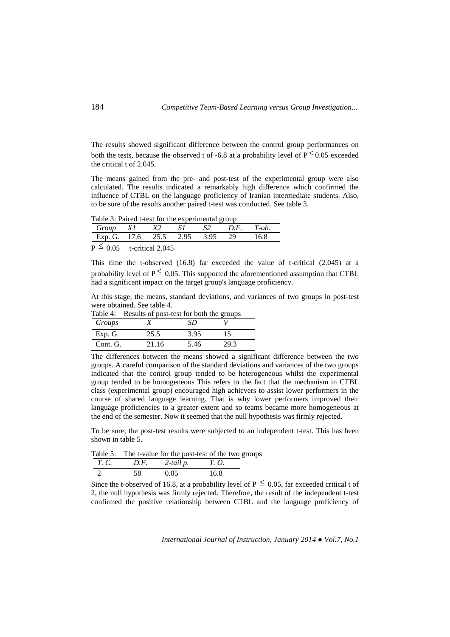The results showed significant difference between the control group performances on both the tests, because the observed t of -6.8 at a probability level of  $P \le 0.05$  exceeded the critical t of 2.045.

The means gained from the pre- and post-test of the experimental group were also calculated. The results indicated a remarkably high difference which confirmed the influence of CTBL on the language proficiency of Iranian intermediate students. Also, to be sure of the results another paired t-test was conducted. See table 3.

Table 3: Paired t-test for the experimental group

| Group X1                       | X2                                                                              | .<br>SI | $S2$ $D.F$ $T-$ ob |        |
|--------------------------------|---------------------------------------------------------------------------------|---------|--------------------|--------|
| Exp. G. 17.6 25.5 2.95 3.95 29 |                                                                                 |         |                    | - 16.8 |
|                                | the contract of the contract of the contract of the contract of the contract of |         |                    |        |

 $_{\rm P} \leq$ 0.05 t-critical 2.045

This time the t-observed (16.8) far exceeded the value of t-critical (2.045) at a probability level of  $P \leq 0.05$ . This supported the aforementioned assumption that CTBL had a significant impact on the target group's language proficiency.

At this stage, the means, standard deviations, and variances of two groups in post-test were obtained. See table 4.

|          | Table 4: Results of post-test for both the groups |      |      |  |  |
|----------|---------------------------------------------------|------|------|--|--|
| Groups   |                                                   | SD   |      |  |  |
| Exp. G.  | 25.5                                              | 3.95 | 15   |  |  |
| Cont. G. | 21.16                                             | 5.46 | 29.3 |  |  |

The differences between the means showed a significant difference between the two groups. A careful comparison of the standard deviations and variances of the two groups indicated that the control group tended to be heterogeneous whilst the experimental group tended to be homogeneous This refers to the fact that the mechanism in CTBL class (experimental group) encouraged high achievers to assist lower performers in the course of shared language learning. That is why lower performers improved their language proficiencies to a greater extent and so teams became more homogeneous at the end of the semester. Now it seemed that the null hypothesis was firmly rejected.

To be sure, the post-test results were subjected to an independent t-test. This has been shown in table 5.

Table 5: The t-value for the post-test of the two groups *T. C. D.F. 2-tail p. T. O.*

| $\cdots$ | $\boldsymbol{\nu}$ | $\omega$ and $\rho$ . | $\ldots$ $\ldots$ |
|----------|--------------------|-----------------------|-------------------|
|          |                    |                       |                   |
|          |                    |                       |                   |

Since the t-observed of 16.8, at a probability level of  $P \le 0.05$ , far exceeded critical t of 2, the null hypothesis was firmly rejected. Therefore, the result of the independent t-test confirmed the positive relationship between CTBL and the language proficiency of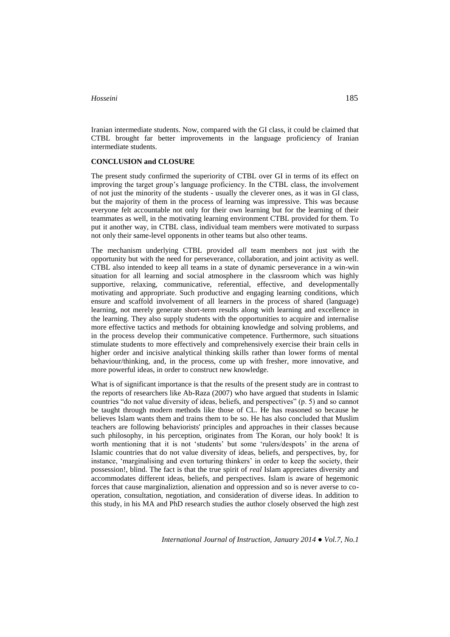Iranian intermediate students. Now, compared with the GI class, it could be claimed that CTBL brought far better improvements in the language proficiency of Iranian intermediate students.

## **CONCLUSION and CLOSURE**

The present study confirmed the superiority of CTBL over GI in terms of its effect on improving the target group's language proficiency. In the CTBL class, the involvement of not just the minority of the students - usually the cleverer ones, as it was in GI class, but the majority of them in the process of learning was impressive. This was because everyone felt accountable not only for their own learning but for the learning of their teammates as well, in the motivating learning environment CTBL provided for them. To put it another way, in CTBL class, individual team members were motivated to surpass not only their same-level opponents in other teams but also other teams.

The mechanism underlying CTBL provided *all* team members not just with the opportunity but with the need for perseverance, collaboration, and joint activity as well. CTBL also intended to keep all teams in a state of dynamic perseverance in a win-win situation for all learning and social atmosphere in the classroom which was highly supportive, relaxing, communicative, referential, effective, and developmentally motivating and appropriate. Such productive and engaging learning conditions, which ensure and scaffold involvement of all learners in the process of shared (language) learning, not merely generate short-term results along with learning and excellence in the learning. They also supply students with the opportunities to acquire and internalise more effective tactics and methods for obtaining knowledge and solving problems, and in the process develop their communicative competence. Furthermore, such situations stimulate students to more effectively and comprehensively exercise their brain cells in higher order and incisive analytical thinking skills rather than lower forms of mental behaviour/thinking, and, in the process, come up with fresher, more innovative, and more powerful ideas, in order to construct new knowledge.

What is of significant importance is that the results of the present study are in contrast to the reports of researchers like Ab-Raza (2007) who have argued that students in Islamic countries "do not value diversity of ideas, beliefs, and perspectives" (p. 5) and so cannot be taught through modern methods like those of CL. He has reasoned so because he believes Islam wants them and trains them to be so. He has also concluded that Muslim teachers are following behaviorists' principles and approaches in their classes because such philosophy, in his perception, originates from The Koran, our holy book! It is worth mentioning that it is not 'students' but some 'rulers/despots' in the arena of Islamic countries that do not value diversity of ideas, beliefs, and perspectives, by, for instance, 'marginalising and even torturing thinkers' in order to keep the society, their possession!, blind. The fact is that the true spirit of *real* Islam appreciates diversity and accommodates different ideas, beliefs, and perspectives. Islam is aware of hegemonic forces that cause marginaliztion, alienation and oppression and so is never averse to cooperation, consultation, negotiation, and consideration of diverse ideas. In addition to this study, in his MA and PhD research studies the author closely observed the high zest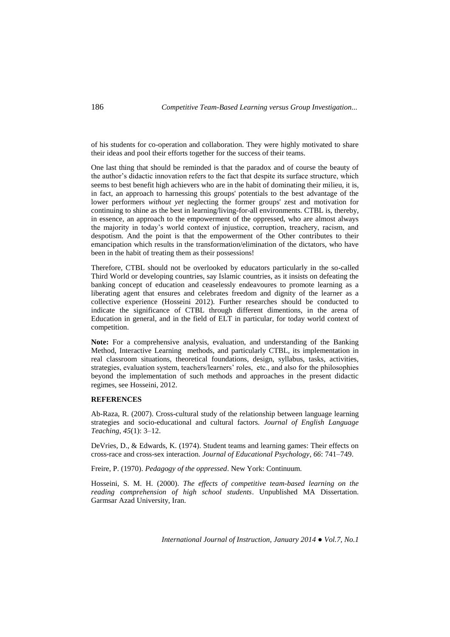of his students for co-operation and collaboration. They were highly motivated to share their ideas and pool their efforts together for the success of their teams.

One last thing that should be reminded is that the paradox and of course the beauty of the author's didactic innovation refers to the fact that despite its surface structure, which seems to best benefit high achievers who are in the habit of dominating their milieu, it is, in fact, an approach to harnessing this groups' potentials to the best advantage of the lower performers *without yet* neglecting the former groups' zest and motivation for continuing to shine as the best in learning/living-for-all environments. CTBL is, thereby, in essence, an approach to the empowerment of the oppressed, who are almost always the majority in today's world context of injustice, corruption, treachery, racism, and despotism. And the point is that the empowerment of the Other contributes to their emancipation which results in the transformation/elimination of the dictators, who have been in the habit of treating them as their possessions!

Therefore, CTBL should not be overlooked by educators particularly in the so-called Third World or developing countries, say Islamic countries, as it insists on defeating the banking concept of education and ceaselessly endeavoures to promote learning as a liberating agent that ensures and celebrates freedom and dignity of the learner as a collective experience (Hosseini 2012). Further researches should be conducted to indicate the significance of CTBL through different dimentions, in the arena of Education in general, and in the field of ELT in particular, for today world context of competition.

**Note:** For a comprehensive analysis, evaluation, and understanding of the Banking Method, Interactive Learning methods, and particularly CTBL, its implementation in real classroom situations, theoretical foundations, design, syllabus, tasks, activities, strategies, evaluation system, teachers/learners' roles, etc., and also for the philosophies beyond the implementation of such methods and approaches in the present didactic regimes, see Hosseini, 2012.

### **REFERENCES**

Ab-Raza, R. (2007). Cross-cultural study of the relationship between language learning strategies and socio-educational and cultural factors. *Journal of English Language Teaching*, *45*(1): 3*–*12.

DeVries, D., & Edwards, K. (1974). Student teams and learning games: Their effects on cross-race and cross-sex interaction. *Journal of Educational Psychology*, *66*: 741*–*749.

Freire, P. (1970). *Pedagogy of the oppressed*. New York: Continuum.

Hosseini, S. M. H. (2000). *The effects of competitive team-based learning on the reading comprehension of high school students*. Unpublished MA Dissertation. Garmsar Azad University, Iran.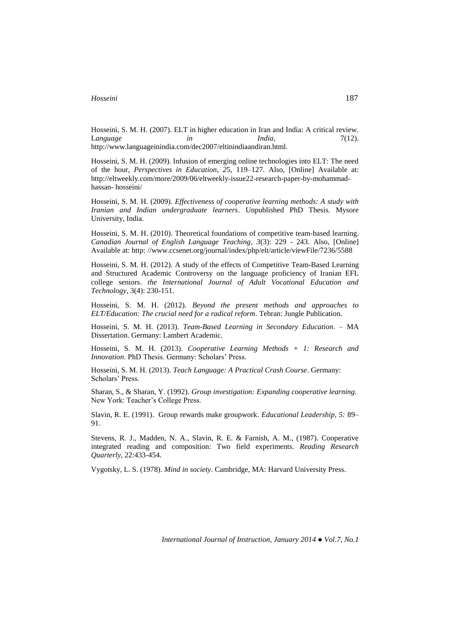Hosseini, S. M. H. (2007). ELT in higher education in Iran and India: A critical review. Language *in in India*, *7*(12). http://www.languageinindia.com/dec2007/eltinindiaandiran.html.

Hosseini, S. M. H. (2009). Infusion of emerging online technologies into ELT: The need of the hour, *Perspectives in Education*, *2*5, 119*–*127. Also, [Online] Available at: http://eltweekly.com/more/2009/06/eltweekly-issue22-research-paper-by-mohammadhassan- hosseini/

Hosseini, S. M. H. (2009). *Effectiveness of cooperative learning methods: A study with Iranian and Indian undergraduate learners*. Unpublished PhD Thesis. Mysore University, India.

Hosseini, S. M. H. (2010). Theoretical foundations of competitive team-based learning. *Canadian Journal of English Language Teaching*, *3*(3): 229 - 243. Also, [Online] Available at: http: //www.ccsenet.org/journal/index/php/elt/article/viewFile/7236/5588

Hosseini, S. M. H. (2012). A study of the effects of Competitive Team-Based Learning and Structured Academic Controversy on the language proficiency of Iranian EFL college seniors. *the International Journal of Adult Vocational Education and Technology*, 3(4): 230-151.

Hosseini, S. M. H. (2012). *Beyond the present methods and approaches to ELT/Education: The crucial need for a radical reform*. Tehran: Jungle Publication.

Hosseini, S. M. H. (2013). *Team-Based Learning in Secondary Education*. – MA Dissertation. Germany: Lambert Academic.

Hosseini, S. M. H. (2013). *Cooperative Learning Methods + 1: Research and Innovation*. PhD Thesis. Germany: Scholars' Press.

Hosseini, S. M. H. (2013). *Teach Language: A Practical Crash Course*. Germany: Scholars' Press.

Sharan, S., & Sharan, Y. (1992). *Group investigation: Expanding cooperative learning.* New York: Teacher's College Press.

Slavin, R. E. (1991). Group rewards make groupwork. *Educational Leadership, 5:* 89*–* 91.

Stevens, R. J., Madden, N. A., Slavin, R. E. & Farnish, A. M., (1987). Cooperative integrated reading and composition: Two field experiments. *Reading Research Quarterly*, 22:433-454.

Vygotsky, L. S. (1978). *Mind in society*. Cambridge, MA: Harvard University Press.